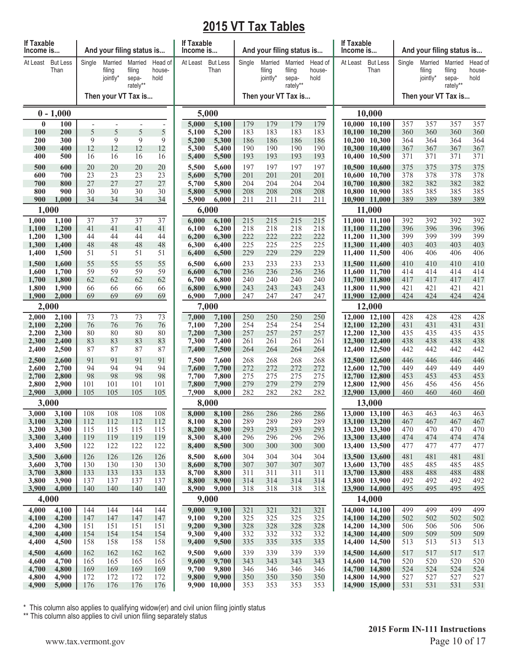## **2015 VT Tax Tables**

| If Taxable<br>Income is |                         |            |                               | And your filing status is              |                           | If Taxable<br>Income is |                         |            | And your filing status is     |                                        |                           | <b>If Taxable</b><br>Income is |                                |            | And your filing status is     |                                        |                           |
|-------------------------|-------------------------|------------|-------------------------------|----------------------------------------|---------------------------|-------------------------|-------------------------|------------|-------------------------------|----------------------------------------|---------------------------|--------------------------------|--------------------------------|------------|-------------------------------|----------------------------------------|---------------------------|
| At Least                | <b>But Less</b><br>Than | Single     | Married<br>filing<br>jointly* | Married<br>filing<br>sepa-<br>rately** | Head of<br>house-<br>hold | At Least                | <b>But Less</b><br>Than | Single     | Married<br>filing<br>jointly* | Married<br>filing<br>sepa-<br>rately** | Head of<br>house-<br>hold | At Least                       | <b>But Less</b><br>Than        | Single     | Married<br>filing<br>jointly* | Married<br>filing<br>sepa-<br>rately** | Head of<br>house-<br>hold |
|                         |                         |            |                               | Then your VT Tax is                    |                           |                         |                         |            | Then your VT Tax is           |                                        |                           |                                |                                |            | Then your VT Tax is           |                                        |                           |
|                         | $0 - 1,000$             |            |                               |                                        |                           |                         | 5,000                   |            |                               |                                        |                           | 10,000                         |                                |            |                               |                                        |                           |
| $\bf{0}$                | 100                     |            |                               |                                        | $\overline{a}$            | 5,000                   | 5,100                   | 179        | 179                           | 179                                    | 179                       |                                | 10,000 10,100                  | 357        | 357                           | 357                                    | 357                       |
| 100<br>200              | 200<br>300              | 5<br>9     | 5<br>9                        | 5<br>9                                 | 5<br>9                    | 5,100<br>5,200          | 5,200<br>5,300          | 183<br>186 | 183<br>186                    | 183<br>186                             | 183<br>186                |                                | 10,100 10,200<br>10,200 10,300 | 360<br>364 | 360<br>364                    | 360<br>364                             | 360<br>364                |
| 300                     | 400                     | 12         | 12                            | 12                                     | 12                        | 5,300                   | 5,400                   | 190        | 190                           | 190                                    | 190                       |                                | 10,300 10,400                  | 367        | 367                           | 367                                    | 367                       |
| 400                     | 500                     | 16         | 16                            | 16                                     | 16                        | 5,400                   | 5,500                   | 193        | 193                           | 193                                    | 193                       |                                | 10,400 10,500                  | 371        | 371                           | 371                                    | 371                       |
| 500<br>600              | 600<br>700              | 20<br>23   | 20<br>23                      | 20<br>23                               | 20<br>23                  | 5,500<br>5,600          | 5,600<br>5,700          | 197<br>201 | 197<br>201                    | 197<br>201                             | 197<br>201                |                                | 10,500 10,600<br>10,600 10,700 | 375<br>378 | 375<br>378                    | 375<br>378                             | 375<br>378                |
| 700                     | 800                     | 27         | 27                            | 27                                     | 27                        | 5,700                   | 5,800                   | 204        | 204                           | 204                                    | 204                       |                                | 10,700 10,800                  | 382        | 382                           | 382                                    | 382                       |
| 800                     | 900                     | 30         | 30                            | 30                                     | 30                        | 5,800                   | 5,900                   | 208        | 208                           | 208                                    | 208                       |                                | 10,800 10,900                  | 385        | 385                           | 385                                    | 385                       |
| 900                     | 1,000<br>1,000          | 34         | 34                            | 34                                     | 34                        | 5,900                   | 6,000<br>6,000          | 211        | 211                           | 211                                    | 211                       |                                | 10,900 11,000<br>11,000        | 389        | 389                           | 389                                    | 389                       |
| 1,000                   | 1,100                   | 37         | 37                            | $\overline{37}$                        | $\overline{37}$           | 6,000                   | 6,100                   | 215        | 215                           | 215                                    | 215                       |                                | 11,000 11,100                  | 392        | 392                           | 392                                    | 392                       |
| 1,100                   | 1,200                   | 41         | 41                            | 41                                     | 41                        | 6,100                   | 6,200                   | 218        | 218                           | 218                                    | 218                       |                                | 11,100 11,200                  | 396        | 396                           | 396                                    | 396                       |
| 1,200                   | 1,300                   | 44         | 44                            | 44                                     | 44                        | 6,200                   | 6,300                   | 222        | 222                           | 222                                    | 222                       |                                | 11,200 11,300                  | 399        | 399                           | 399                                    | 399                       |
| 1,300<br>1,400          | 1,400<br>1,500          | 48<br>51   | 48<br>51                      | 48<br>51                               | 48<br>51                  | 6,300<br>6,400          | 6,400<br>6,500          | 225<br>229 | 225<br>229                    | 225<br>229                             | 225<br>229                |                                | 11,300 11,400<br>11,400 11,500 | 403<br>406 | 403<br>406                    | 403<br>406                             | 403<br>406                |
| 1,500                   | 1,600                   | 55         | 55                            | 55                                     | 55                        | 6,500                   | 6,600                   | 233        | 233                           | 233                                    | 233                       |                                | 11,500 11,600                  | 410        | 410                           | 410                                    | 410                       |
| 1,600                   | 1,700                   | 59         | 59                            | 59                                     | 59                        | 6,600                   | 6,700                   | 236        | 236                           | 236                                    | 236                       |                                | 11,600 11,700                  | 414        | 414                           | 414                                    | 414                       |
| 1,700<br>1,800          | 1,800<br>1,900          | 62<br>66   | 62<br>66                      | 62<br>66                               | 62<br>66                  | 6,700<br>6,800          | 6,800<br>6,900          | 240<br>243 | 240<br>243                    | 240<br>243                             | 240<br>243                |                                | 11,700 11,800<br>11,800 11,900 | 417<br>421 | 417<br>421                    | 417<br>421                             | 417<br>421                |
| 1,900                   | 2,000                   | 69         | 69                            | 69                                     | 69                        | 6,900                   | 7,000                   | 247        | 247                           | 247                                    | 247                       |                                | 11,900 12,000                  | 424        | 424                           | 424                                    | 424                       |
| 2,000                   |                         |            |                               |                                        | 7,000                     |                         |                         |            |                               |                                        | 12,000                    |                                |                                |            |                               |                                        |                           |
| 2,000                   | 2,100                   | 73         | 73                            | 73                                     | 73                        | 7,000                   | 7,100                   | 250        | 250                           | 250                                    | 250                       |                                | 12,000 12,100                  | 428        | 428                           | 428                                    | 428                       |
| 2,100<br>2,200          | 2,200<br>2,300          | 76<br>80   | 76<br>80                      | 76<br>80                               | 76<br>80                  | 7,100<br>7,200          | 7,200<br>7,300          | 254<br>257 | 254<br>257                    | 254<br>257                             | 254<br>257                |                                | 12,100 12,200<br>12,200 12,300 | 431<br>435 | 431<br>435                    | 431<br>435                             | 431<br>435                |
| 2,300                   | 2,400                   | 83         | 83                            | 83                                     | 83                        | 7,300                   | 7,400                   | 261        | 261                           | 261                                    | 261                       |                                | 12,300 12,400                  | 438        | 438                           | 438                                    | 438                       |
| 2,400                   | 2,500                   | 87         | 87                            | 87                                     | 87                        | 7,400                   | 7,500                   | 264        | 264                           | 264                                    | 264                       |                                | 12,400 12,500                  | 442        | 442                           | 442                                    | 442                       |
| 2,500<br>2,600          | 2,600<br>2,700          | 91<br>94   | 91<br>94                      | 91<br>94                               | 91<br>94                  | 7,500<br>7,600          | 7,600<br>7,700          | 268<br>272 | 268<br>272                    | 268<br>272                             | 268<br>272                |                                | 12,500 12,600<br>12,600 12,700 | 446<br>449 | 446<br>449                    | 446<br>449                             | 446<br>449                |
| 2,700                   | 2,800                   | 98         | 98                            | 98                                     | 98                        | 7,700                   | 7,800                   | 275        | 275                           | 275                                    | 275                       |                                | 12,700 12,800                  | 453        | 453                           | 453                                    | 453                       |
| 2,800                   | 2,900                   | 101        | 101                           | 101                                    | 101                       | 7,800                   | 7,900                   | 279        | 279                           | 279                                    | 279                       |                                | 12,800 12,900                  | 456        | 456                           | 456                                    | 456                       |
| 2,900                   | 3,000                   | 105        | 105                           | 105                                    | 105                       | 7,900                   | 8,000                   | 282        | 282                           | 282                                    | 282                       |                                | 12,900 13,000                  | 460        | 460                           | 460                                    | 460                       |
| 3,000                   | 3,000<br>3,100          | 108        | 108                           | 108                                    | 108                       | 8,000                   | 8,000<br>8,100          | 286        | 286                           | 286                                    | 286                       |                                | 13,000<br>13,000 13,100        | 463        | 463                           | 463                                    | 463                       |
| 3,100                   | 3,200                   | 112        | 112                           | 112                                    | 112                       | 8,100                   | 8,200                   | 289        | 289                           | 289                                    | 289                       |                                | 13,100 13,200                  | 467        | 467                           | 467                                    | 467                       |
| 3,200                   | 3,300                   | 115        | 115                           | 115                                    | 115                       | 8,200                   | 8,300                   | 293        | 293                           | 293                                    | 293                       |                                | 13,200 13,300                  | 470        | 470                           | 470                                    | 470                       |
| 3,300<br>3,400          | 3,400<br>3,500          | 119<br>122 | 119<br>122                    | 119<br>122                             | 119<br>122                | 8,300<br>8,400          | 8,400<br>8,500          | 296<br>300 | 296<br>300                    | 296<br>300                             | 296<br>300                |                                | 13,300 13,400<br>13,400 13,500 | 474<br>477 | 474<br>477                    | 474<br>477                             | 474<br>477                |
| 3,500                   | 3,600                   | 126        | 126                           | 126                                    | 126                       | 8,500                   | 8,600                   | 304        | 304                           | 304                                    | 304                       |                                | 13,500 13,600                  | 481        | 481                           | 481                                    | 481                       |
| 3,600                   | 3,700                   | 130        | 130                           | 130                                    | 130                       | 8,600                   | 8,700                   | 307        | 307                           | 307                                    | 307                       |                                | 13,600 13,700                  | 485        | 485                           | 485                                    | 485                       |
| 3,700<br>3,800          | 3,800<br>3,900          | 133<br>137 | 133<br>137                    | 133<br>137                             | 133<br>137                | 8,700<br>8,800          | 8,800<br>8,900          | 311<br>314 | 311<br>314                    | 311<br>314                             | 311<br>314                |                                | 13,700 13,800<br>13,800 13,900 | 488<br>492 | 488<br>492                    | 488<br>492                             | 488<br>492                |
| 3,900                   | 4,000                   | 140        | 140                           | 140                                    | 140                       | 8,900                   | 9,000                   | 318        | 318                           | 318                                    | 318                       |                                | 13,900 14,000                  | 495        | 495                           | 495                                    | 495                       |
|                         | 4,000                   |            |                               |                                        |                           |                         | 9,000                   |            |                               |                                        |                           |                                | 14,000                         |            |                               |                                        |                           |
| 4,000                   | 4,100                   | 144        | 144                           | 144                                    | 144                       | 9,000                   | 9,100                   | 321        | 321                           | 321                                    | 321                       |                                | 14,000 14,100                  | 499        | 499                           | 499                                    | 499                       |
| 4,100<br>4,200          | 4,200<br>4,300          | 147<br>151 | 147<br>151                    | 147<br>151                             | 147<br>151                | 9,100<br>9,200          | 9,200<br>9,300          | 325<br>328 | 325<br>328                    | 325<br>328                             | 325<br>328                |                                | 14,100 14,200<br>14,200 14,300 | 502<br>506 | 502<br>506                    | 502<br>506                             | 502<br>506                |
| 4,300                   | 4,400                   | 154        | 154                           | 154                                    | 154                       | 9,300                   | 9,400                   | 332        | 332                           | 332                                    | 332                       |                                | 14,300 14,400                  | 509        | 509                           | 509                                    | 509                       |
| 4,400                   | 4,500                   | 158        | 158                           | 158                                    | 158                       | 9,400                   | 9,500                   | 335        | 335                           | 335                                    | 335                       |                                | 14,400 14,500                  | 513        | 513                           | 513                                    | 513                       |
| 4,500                   | 4,600                   | 162        | 162                           | 162                                    | 162                       | 9,500                   | 9,600                   | 339        | 339                           | 339                                    | 339                       |                                | 14,500 14,600                  | 517        | 517                           | 517                                    | 517                       |
| 4,600<br>4,700          | 4,700<br>4,800          | 165<br>169 | 165<br>169                    | 165<br>169                             | 165<br>169                | 9,600<br>9,700          | 9,700<br>9,800          | 343<br>346 | 343<br>346                    | 343<br>346                             | 343<br>346                |                                | 14,600 14,700<br>14,700 14,800 | 520<br>524 | 520<br>524                    | 520<br>524                             | 520<br>524                |
| 4,800                   | 4,900                   | 172        | 172                           | 172                                    | 172                       | 9,800                   | 9,900                   | 350        | 350                           | 350                                    | 350                       |                                | 14,800 14,900                  | 527        | 527                           | 527                                    | 527                       |
| 4,900                   | 5,000                   | 176        | 176                           | 176                                    | 176                       |                         | 9,900 10,000            | 353        | 353                           | 353                                    | 353                       |                                | 14,900 15,000                  | 531        | 531                           | 531                                    | 531                       |

\* This column also applies to qualifying widow(er) and civil union filing jointly status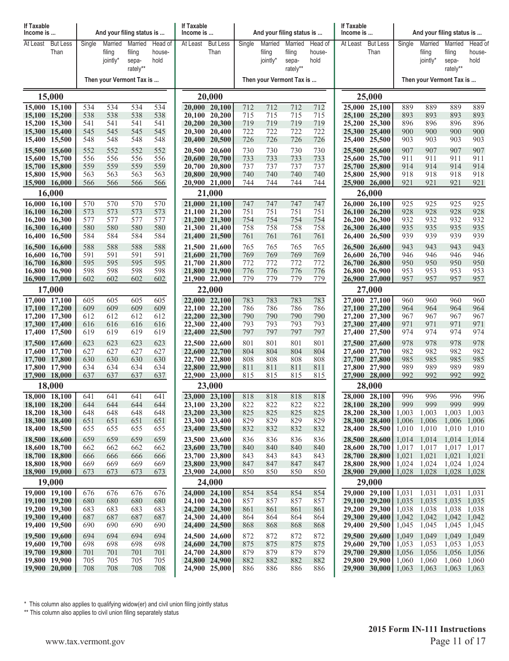| If Taxable<br>Income is                                                           |                                                 |                                 |                                 | And your filing status is              |                                 | If Taxable<br>Income is |                                                                                   |                                 |                                 | And your filing status is              |                                 | If Taxable<br>Income is |                                                                                               |                                           | And your filing status is                 |                                                                         |                                 |
|-----------------------------------------------------------------------------------|-------------------------------------------------|---------------------------------|---------------------------------|----------------------------------------|---------------------------------|-------------------------|-----------------------------------------------------------------------------------|---------------------------------|---------------------------------|----------------------------------------|---------------------------------|-------------------------|-----------------------------------------------------------------------------------------------|-------------------------------------------|-------------------------------------------|-------------------------------------------------------------------------|---------------------------------|
| At Least                                                                          | <b>But Less</b><br>Than                         | Single                          | Married<br>filing<br>jointly*   | Married<br>filing<br>sepa-<br>rately** | Head of<br>house-<br>hold       | At Least                | <b>But Less</b><br>Than                                                           | Single                          | Married<br>filing<br>jointly*   | Married<br>filing<br>sepa-<br>rately** | Head of<br>house-<br>hold       | At Least                | <b>But Less</b><br>Than                                                                       | Single                                    | Married<br>filing<br>jointly*             | Married<br>filing<br>sepa-<br>rately**                                  | Head of<br>house-<br>hold       |
|                                                                                   |                                                 |                                 |                                 | Then your Vermont Tax is               |                                 |                         |                                                                                   |                                 |                                 | Then your Vermont Tax is               |                                 |                         |                                                                                               |                                           | Then your Vermont Tax is                  |                                                                         |                                 |
|                                                                                   | 15,000                                          |                                 |                                 |                                        |                                 |                         | 20,000                                                                            |                                 |                                 |                                        |                                 |                         | 25,000                                                                                        |                                           |                                           |                                                                         |                                 |
| 15,000 15,100<br>15,100 15,200<br>15,200 15,300                                   |                                                 | 534<br>538<br>541               | 534<br>538<br>541               | 534<br>538<br>541                      | 534<br>538<br>541               |                         | 20,000 20,100<br>20,100 20,200<br>20,200 20,300                                   | 712<br>715<br>719               | 712<br>715<br>719               | 712<br>715<br>719                      | 712<br>715<br>719               |                         | 25,000 25,100<br>25,100 25,200<br>25,200 25,300                                               | 889<br>893<br>896                         | 889<br>893<br>896                         | 889<br>893<br>896                                                       | 889<br>893<br>896               |
| 15,300 15,400<br>15,400 15,500<br>15,500 15,600                                   |                                                 | 545<br>548<br>552               | 545<br>548<br>552               | 545<br>548<br>552                      | 545<br>548<br>552               |                         | 20,300 20,400<br>20,400 20,500<br>20,500 20,600                                   | 722<br>726<br>730               | 722<br>726<br>730               | 722<br>726<br>730                      | 722<br>726<br>730               |                         | 25,300 25,400<br>25,400 25,500<br>25,500 25,600                                               | 900<br>903<br>907                         | 900<br>903<br>907                         | 900<br>903<br>907                                                       | 900<br>903<br>907               |
| 15,700 15,800<br>15,800 15,900<br>15,900 16,000                                   | 15,600 15,700                                   | 556<br>559<br>563<br>566        | 556<br>559<br>563<br>566        | 556<br>559<br>563<br>566               | 556<br>559<br>563<br>566        |                         | 20,600 20,700<br>20,700 20,800<br>20,800 20,900<br>20,900 21,000                  | 733<br>737<br>740<br>744        | 733<br>737<br>740<br>744        | 733<br>737<br>740<br>744               | 733<br>737<br>740<br>744        |                         | 25,600 25,700<br>25,700 25,800<br>25,800 25,900<br>25,900 26,000                              | 911<br>914<br>918<br>921                  | 911<br>914<br>918<br>921                  | 911<br>914<br>918<br>921                                                | 911<br>914<br>918<br>921        |
|                                                                                   | 16,000                                          |                                 |                                 |                                        |                                 |                         | 21,000                                                                            |                                 |                                 |                                        |                                 |                         | 26,000                                                                                        |                                           |                                           |                                                                         |                                 |
| 16,000 16,100<br>16,100 16,200<br>16.200 16.300<br>16,400                         | 16,300 16,400<br>16,500                         | 570<br>573<br>577<br>580<br>584 | 570<br>573<br>577<br>580<br>584 | 570<br>573<br>577<br>580<br>584        | 570<br>573<br>577<br>580<br>584 |                         | 21,000 21,100<br>21,100 21,200<br>21,200 21,300<br>21,300 21,400                  | 747<br>751<br>754<br>758<br>761 | 747<br>751<br>754<br>758<br>761 | 747<br>751<br>754<br>758<br>761        | 747<br>751<br>754<br>758<br>761 | 26,400                  | 26,000 26,100<br>26,100 26,200<br>26,200 26,300<br>26,300 26,400<br>26,500                    | 925<br>928<br>932<br>935<br>939           | 925<br>928<br>932<br>935<br>939           | 925<br>928<br>932<br>935<br>939                                         | 925<br>928<br>932<br>935<br>939 |
| 16,700 16,800                                                                     | 16,500 16,600<br>16,600 16,700<br>16,800 16,900 | 588<br>591<br>595<br>598        | 588<br>591<br>595<br>598        | 588<br>591<br>595<br>598               | 588<br>591<br>595<br>598        |                         | 21,400 21,500<br>21,500 21,600<br>21,600 21,700<br>21,700 21,800<br>21,800 21,900 | 765<br>769<br>772<br>776        | 765<br>769<br>772<br>776        | 765<br>769<br>772<br>776               | 765<br>769<br>772<br>776        |                         | 26,500 26,600<br>26,600 26,700<br>26,700 26,800<br>26,800 26,900                              | 943<br>946<br>950<br>953                  | 943<br>946<br>950<br>953                  | 943<br>946<br>950<br>953                                                | 943<br>946<br>950<br>953        |
| 16,900 17,000                                                                     | 17,000                                          | 602                             | 602                             | 602                                    | 602                             |                         | 21,900 22,000<br>22,000                                                           | 779                             | 779                             | 779                                    | 779                             |                         | 26,900 27,000<br>27,000                                                                       | 957                                       | 957                                       | 957                                                                     | 957                             |
| 17,000 17,100<br>17,100 17,200<br>17,200 17,300<br>17,300 17,400<br>17,400 17,500 |                                                 | 605<br>609<br>612<br>616<br>619 | 605<br>609<br>612<br>616<br>619 | 605<br>609<br>612<br>616<br>619        | 605<br>609<br>612<br>616<br>619 |                         | 22,000 22,100<br>22,100 22,200<br>22,200 22,300<br>22,300 22,400<br>22,400 22,500 | 783<br>786<br>790<br>793<br>797 | 783<br>786<br>790<br>793<br>797 | 783<br>786<br>790<br>793<br>797        | 783<br>786<br>790<br>793<br>797 |                         | 27,000 27,100<br>27,100 27,200<br>27,200 27,300<br>27,300 27,400<br>27,400 27,500             | 960<br>964<br>967<br>971<br>974           | 960<br>964<br>967<br>971<br>974           | 960<br>964<br>967<br>971<br>974                                         | 960<br>964<br>967<br>971<br>974 |
| 17,500 17,600<br>17,600 17,700<br>17,700 17,800<br>17,800 17,900<br>17,900 18,000 |                                                 | 623<br>627<br>630<br>634<br>637 | 623<br>627<br>630<br>634<br>637 | 623<br>627<br>630<br>634<br>637        | 623<br>627<br>630<br>634<br>637 |                         | 22,500 22,600<br>22,600 22,700<br>22,700 22,800<br>22,800 22,900<br>22,900 23,000 | 801<br>804<br>808<br>811<br>815 | 801<br>804<br>808<br>811<br>815 | 801<br>804<br>808<br>811<br>815        | 801<br>804<br>808<br>811<br>815 |                         | 27,500 27,600<br>27,600 27,700<br>27,700 27,800<br>27,800 27,900<br>27,900 28,000             | 978<br>982<br>985<br>989<br>992           | 978<br>982<br>985<br>989<br>992           | 978<br>982<br>985<br>989<br>992                                         | 978<br>982<br>985<br>989<br>992 |
|                                                                                   | 18,000                                          |                                 |                                 |                                        |                                 |                         | 23,000                                                                            |                                 |                                 |                                        |                                 |                         | 28,000                                                                                        |                                           |                                           |                                                                         |                                 |
| 18,100 18,200<br>18,200 18,300<br>18,400 18,500                                   | 18,000 18,100<br>18,300 18,400                  | 641<br>644<br>648<br>651<br>655 | 641<br>644<br>648<br>651<br>655 | 641<br>644<br>648<br>651<br>655        | 641<br>644<br>648<br>651<br>655 |                         | 23,000 23,100<br>23,100 23,200<br>23,200 23,300<br>23,300 23,400<br>23,400 23,500 | 818<br>822<br>825<br>829<br>832 | 818<br>822<br>825<br>829<br>832 | 818<br>822<br>825<br>829<br>832        | 818<br>822<br>825<br>829<br>832 |                         | 28,000 28,100<br>28,100 28,200<br>28,200 28,300<br>28,300 28,400<br>28,400 28,500             | 996<br>999<br>1,003<br>1,006<br>1,010     | 996<br>999<br>1,003<br>1,006<br>1,010     | 996<br>999<br>1,003<br>1,006<br>1,010 1,010                             | 996<br>999<br>1,003<br>1.006    |
| 18,500 18,600<br>18,600 18,700<br>18,700 18,800<br>18,800 18,900<br>18,900 19,000 |                                                 | 659<br>662<br>666<br>669<br>673 | 659<br>662<br>666<br>669<br>673 | 659<br>662<br>666<br>669<br>673        | 659<br>662<br>666<br>669<br>673 |                         | 23,500 23,600<br>23,600 23,700<br>23,700 23,800<br>23,800 23,900<br>23,900 24,000 | 836<br>840<br>843<br>847<br>850 | 836<br>840<br>843<br>847<br>850 | 836<br>840<br>843<br>847<br>850        | 836<br>840<br>843<br>847<br>850 |                         | 28,500 28,600<br>28,600 28,700<br>28,700 28,800<br>28,800 28,900<br>$28,900$ 29,000 1,028     | 1,014<br>1,017<br>1,021<br>1,024          | 1,014<br>1,017<br>1,021<br>1,024<br>1,028 | 1,014 1,014<br>1,017 1,017<br>1,021 1,021<br>1,024 1,024<br>1,028 1,028 |                                 |
|                                                                                   | 19,000                                          |                                 |                                 |                                        |                                 |                         | 24,000                                                                            |                                 |                                 |                                        |                                 |                         | 29,000                                                                                        |                                           |                                           |                                                                         |                                 |
| 19,000 19,100<br>19,100 19,200<br>19,200 19,300<br>19,300 19,400<br>19,400 19,500 |                                                 | 676<br>680<br>683<br>687<br>690 | 676<br>680<br>683<br>687<br>690 | 676<br>680<br>683<br>687<br>690        | 676<br>680<br>683<br>687<br>690 |                         | 24,000 24,100<br>24,100 24,200<br>24,200 24,300<br>24,300 24,400<br>24,400 24,500 | 854<br>857<br>861<br>864<br>868 | 854<br>857<br>861<br>864<br>868 | 854<br>857<br>861<br>864<br>868        | 854<br>857<br>861<br>864<br>868 |                         | 29,000 29,100<br>29,100 29,200<br>29,200 29,300<br>29,300 29,400<br>29,400 29,500             | 1,031<br>1,035<br>1,038<br>1,042<br>1,045 | 1,031<br>1,035<br>1,038<br>1,042<br>1,045 | 1,031 1,031<br>1,035 1,035<br>1,038 1,038<br>1,042<br>1,045             | 1,042<br>1,045                  |
| 19,500 19,600<br>19,600 19,700<br>19,900 20,000                                   | 19,700 19,800<br>19,800 19,900                  | 694<br>698<br>701<br>705<br>708 | 694<br>698<br>701<br>705<br>708 | 694<br>698<br>701<br>705<br>708        | 694<br>698<br>701<br>705<br>708 |                         | 24,500 24,600<br>24,600 24,700<br>24,700 24,800<br>24,800 24,900<br>24,900 25,000 | 872<br>875<br>879<br>882<br>886 | 872<br>875<br>879<br>882<br>886 | 872<br>875<br>879<br>882<br>886        | 872<br>875<br>879<br>882<br>886 |                         | 29,500 29,600<br>29,600 29,700<br>29,700 29,800<br>29,800 29,900<br>$29,900$ $30,000$   1,063 | 1,049<br>1,053<br>1,056<br>1,060          | 1,049<br>1,053<br>1,056<br>1,060<br>1,063 | 1,049<br>1,053 1,053<br>1,056 1,056<br>1,060 1,060<br>1,063             | 1,049<br>1,063                  |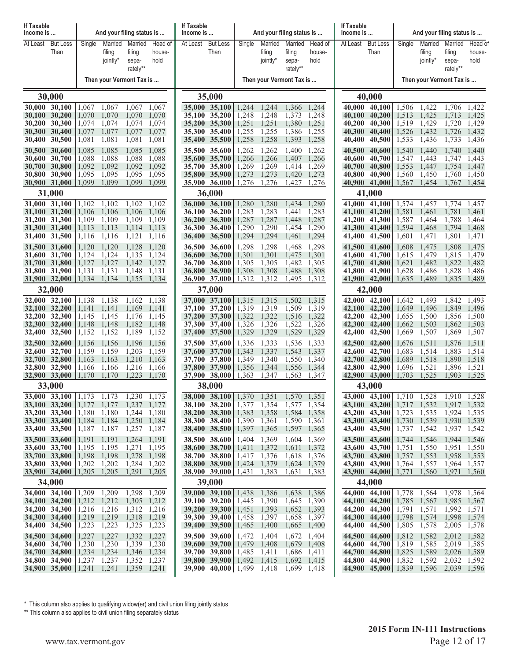| <b>If Taxable</b><br>Income is                                                                                                                                         |                         |                                                                                                                                                                                  | And your filing status is                                                                 |                                                                                        | If Taxable<br>Income is           |                                                                                                                                                                               |                                                                                        |                                                                                        | And your filing status is                                                                 |                                                                                        | If Taxable<br>Income is                                  |                                                                                                                                                  |                                                                                        | And your filing status is                                                              |                                                                                                       |                                                                               |
|------------------------------------------------------------------------------------------------------------------------------------------------------------------------|-------------------------|----------------------------------------------------------------------------------------------------------------------------------------------------------------------------------|-------------------------------------------------------------------------------------------|----------------------------------------------------------------------------------------|-----------------------------------|-------------------------------------------------------------------------------------------------------------------------------------------------------------------------------|----------------------------------------------------------------------------------------|----------------------------------------------------------------------------------------|-------------------------------------------------------------------------------------------|----------------------------------------------------------------------------------------|----------------------------------------------------------|--------------------------------------------------------------------------------------------------------------------------------------------------|----------------------------------------------------------------------------------------|----------------------------------------------------------------------------------------|-------------------------------------------------------------------------------------------------------|-------------------------------------------------------------------------------|
| At Least                                                                                                                                                               | <b>But Less</b><br>Than | Married<br>Single<br>filing<br>jointly*                                                                                                                                          | Married<br>filing<br>sepa-<br>rately**                                                    | Head of<br>house-<br>hold                                                              | At Least                          | <b>But Less</b><br>Than                                                                                                                                                       | Single                                                                                 | Married<br>filing<br>jointly*                                                          | Married<br>filing<br>sepa-<br>rately**                                                    | Head of<br>house-<br>hold                                                              | At Least                                                 | <b>But Less</b><br>Than                                                                                                                          | Single                                                                                 | Married<br>filing<br>jointly*                                                          | Married<br>filing<br>sepa-<br>rately**                                                                | Head of<br>house-<br>hold                                                     |
|                                                                                                                                                                        |                         | Then your Vermont Tax is                                                                                                                                                         |                                                                                           |                                                                                        |                                   |                                                                                                                                                                               |                                                                                        |                                                                                        | Then your Vermont Tax is                                                                  |                                                                                        |                                                          |                                                                                                                                                  |                                                                                        | Then your Vermont Tax is                                                               |                                                                                                       |                                                                               |
| 30,000                                                                                                                                                                 |                         |                                                                                                                                                                                  |                                                                                           |                                                                                        |                                   | 35,000                                                                                                                                                                        |                                                                                        |                                                                                        |                                                                                           |                                                                                        | 40,000                                                   |                                                                                                                                                  |                                                                                        |                                                                                        |                                                                                                       |                                                                               |
| 30,000 30,100<br>30,100 30,200<br>30,200 30,300<br>30,300 30,400<br>30,400 30,500<br>30,500 30,600<br>30,600                                                           | 30,700                  | 1,067<br>1,067<br>1,070<br>1,070<br>1,074<br>1,074<br>1,077<br>1,077<br>1,081<br>1,081<br>1,085<br>1,085<br>1,088<br>1,088                                                       | 1,067<br>1,070<br>1,074<br>1,077<br>1,081<br>1,085<br>1,088                               | 1,067<br>1,070<br>1,074<br>1,077<br>1,081<br>1,085<br>1,088                            | <b>35,600</b>                     | 35,000 35,100<br>35,100 35,200<br>35,200 35,300<br>35,300 35,400<br>35,400 35,500<br>35,500 35,600<br>35,700                                                                  | 1,244<br>1,248<br>1,251<br>1,255<br>1,258<br>1,262<br>1,266                            | 1,244<br>1,248<br>1,251<br>1,255<br>1,258<br>1,262<br>1,266                            | 1,366<br>1,373<br>1,380<br>1,386<br>1,393<br>1,400<br>1,407                               | 1,244<br>1,248<br>1,251<br>1,255<br>1,258<br>1,262<br>1,266                            | 40,100<br>40.200<br>40,300<br>40,400<br>40,500<br>40,600 | 40.000 40.100<br>40,200<br>40,300<br>40,400<br>40,500<br>40,600<br>40,700                                                                        | 1,506<br>1,513<br>1,519<br>1,526<br>1,533<br>1,540<br>1,547                            | 1,422<br>1,425<br>1,429<br>1,432<br>1,436<br>1,440<br>1,443                            | 1,706<br>1,713<br>1,720<br>1,726<br>1,733<br>1,740<br>1,747                                           | 1,422<br>1,425<br>1,429<br>1,432<br>1,436<br>1,440<br>1,443                   |
| 30,700 30,800<br>30,800 30,900<br>30,900 31,000<br>31,000                                                                                                              |                         | 1,092<br>1,092<br>1,095<br>1,095<br>1.099<br>1,099                                                                                                                               | 1,092<br>1,095<br>1,099                                                                   | 1,092<br>1,095<br>1,099                                                                |                                   | 35,700 35,800<br>35,800 35,900   1,273<br>35,900 36,000 1,276<br>36,000                                                                                                       | 1,269                                                                                  | 1,269<br>1,273<br>1,276                                                                | 1,414<br>1,420<br>1,427                                                                   | 1,269<br>1,273<br>1,276                                                                | 40,700<br>40,800<br>40,900                               | 40,800<br>40,900<br>41,000<br>41,000                                                                                                             | 1,553<br>1,560<br>1,567                                                                | 1,447<br>1,450<br>1,454                                                                | 1,754 1,447<br>1,760<br>1,767                                                                         | 1,450<br>1,454                                                                |
| 31,000 31,100<br>31,100 31,200<br>31,200 31,300<br>31,300 31,400<br>31,400 31,500<br>31,500 31,600<br>31,600 31,700<br>31,700 31,800<br>31,800 31,900<br>31,900 32,000 |                         | 1,102<br>1,102<br>1,106<br>1,106<br>1,109<br>1,109<br>1,113<br>1,113<br>1,116<br>1,116<br>1,120<br>1,120<br>1,124<br>1,124<br>1,127<br>1,127<br>1,131<br>1,131<br>1,134<br>1,134 | 1,102<br>1,106<br>1,109<br>1,114<br>1,121<br>1,128<br>1,135<br>1,142<br>1,148<br>1,155    | 1,102<br>1,106<br>1,109<br>1,113<br>1,116<br>1,120<br>1,124<br>1,127<br>1,131<br>1,134 | 36,200<br>36,300<br><b>36,600</b> | $36,000$ $36,100$<br>36,100 36,200<br>36,300<br>36,400<br>36,400 36,500<br>36,500 36,600<br>36,700<br>36,700 36,800<br>$36,800$ $36,900$<br>36,900 37,000                     | 1,280<br>1,283<br>1,287<br>1,290<br>1,294<br>1,298<br>1,301<br>1,305<br>1,308<br>1,312 | 1,280<br>1,283<br>1,287<br>1,290<br>1,294<br>1,298<br>1,301<br>1,305<br>1,308<br>1,312 | 1.434<br>1,441<br>1,448<br>1,454<br>1,461<br>1,468<br>1,475<br>1,482<br>1,488<br>1,495    | 1,280<br>1,283<br>1,287<br>1,290<br>1,294<br>1,298<br>1,301<br>1,305<br>1,308<br>1,312 | 41,200<br>41,300<br>41,400<br>41,500<br>41,700<br>41,800 | 41,000 41,100<br>41,100 41,200<br>41,300<br>41,400<br>41,500<br>41,600<br>41,600 41,700<br>41,800<br>41,900<br>41,900 42,000                     | 1,574<br>1,581<br>1,587<br>1,594<br>1,601<br>1,608<br>1,615<br>1,621<br>1,628<br>1,635 | 1,457<br>1,461<br>1,464<br>1,468<br>1,471<br>1,475<br>1,479<br>1,482<br>1,486<br>1,489 | 1,774<br>1,781<br>1,788<br>1,794<br>1,801<br>1,808<br>1,815<br>1,822 1,482<br>1,828<br>1,835          | 1,457<br>1,461<br>1,464<br>1,468<br>1,471<br>1,475<br>1,479<br>1,486<br>1,489 |
| 32,000<br>32,000 32,100<br>32,100 32,200<br>32,200 32,300<br>32,300 32,400<br>32,400 32,500                                                                            |                         | 1,138<br>1,138<br>1,141<br>1,141<br>1,145<br>1,145<br>1,148<br>1,148<br>1,152<br>1,152                                                                                           | 1,162<br>1,169<br>1,176<br>1,182<br>1,189                                                 | 1,138<br>1,141<br>1,145<br>1,148<br>1,152                                              |                                   | 37,000<br>37,000 37,100<br>37,100 37,200<br>37,200 37,300<br>37,300 37,400<br>37,400 37,500                                                                                   | 1,315<br>1,319<br>1,322<br>1,326<br>1,329                                              | 1,315<br>1,319<br>1,322<br>1,326<br>1,329                                              | 1,502<br>1,509<br>1,516<br>1,522<br>1,529                                                 | 1,315<br>1,319<br>1,322<br>1,326<br>1,329                                              | 42,000<br>42,100<br>42,200<br>42,400                     | 42,000<br>42,100<br>42,200<br>42,300<br>42,300 42,400<br>42,500                                                                                  | 1.642<br>1,649<br>1,655<br>1,662<br>1,669                                              | 1,493<br>1,496<br>1,500<br>1,503<br>1,507                                              | 1,842<br>1,849<br>1,856<br>1,862<br>1,869                                                             | 1,493<br>1,496<br>1,500<br>1,503<br>1,507                                     |
| 32,500 32,600<br>32,600 32,700<br>32,700 32,800<br>32,800 32,900<br>32,900 33,000<br>33,000                                                                            |                         | 1,156<br>1,156<br>1,159<br>1,159<br>1,163<br>1,163<br>1,166<br>1,166<br>1,170<br>1,170                                                                                           | 1,196<br>1,203<br>1,210<br>1,216<br>1,223                                                 | 1,156<br>1,159<br>1,163<br>1,166<br>1,170                                              |                                   | 37,500 37,600<br>37,600 37,700<br>37,700 37,800<br>37,800 37,900 1.356<br>$37,900$ $38,000$   1,363<br>38,000                                                                 | 1,336<br>1,343<br>1,349                                                                | 1,333<br>1,337<br>1,340<br>1,344<br>1,347                                              | 1,536<br>1,543<br>1,550<br>1,556<br>1,563                                                 | 1,333<br>1,337<br>1,340<br>1,344<br>1,347                                              | 42,500<br>42,600<br>42,700                               | 42,600<br>42,700<br>42,800<br>42,800 42,900<br>42,900 43,000<br>43,000                                                                           | 1,676<br>1,683<br>1,689<br>1,696<br>1,703                                              | 1,511<br>1,514<br>1,518<br>1,521<br>1,525                                              | 1,876<br>1,883<br>1,890<br>1,896 1,521<br>1,903                                                       | 1,511<br>1,514<br>1,518<br>1,525                                              |
| 33,100 33,200<br>33,200 33,300<br>33,300 33,400<br>33,400 33,500<br>33,500 33,600<br>33,600 33,700                                                                     |                         | 33,000 33,100 1,173 1,173<br>$1,177$ 1,177<br>1,180<br>1,180<br>$1,184$ 1,184<br>1,187<br>  1,187<br>1,191<br>1,191<br>1,195 1,195                                               | 1,230<br>1,237 1,177<br>1,244 1,180<br>1,250 1,184<br>1,257 1,187<br>1,264 1,191<br>1,271 | 1,173<br>1,195                                                                         |                                   | 38,000 38,100 1,370 1,351<br>38,100 38,200 1,377 1,354<br>38,200 38,300   1,383<br>38,300 38,400 1,390<br>38,400 38,500   1,397<br>38,500 38,600<br>38,600 38,700 1,411 1,372 | 1,404 1,369                                                                            | 1,358<br>1,361<br>1,365                                                                | 1,570<br>1,577 1,354<br>1,584 1,358<br>1,590<br>1,597 1,365<br>1,604 1,369<br>1,611 1,372 | 1,351<br>1,361                                                                         |                                                          | 43,000 43,100 $\mid$ 1,710<br>43,100 43,200 1,717 1,532<br>43,200 43,300<br>$43,300$ $43,400$<br>43,400 43,500<br>43,500 43,600<br>43,600 43,700 | 1,723<br>1,730<br>1,737<br>1,744 1,546<br>1,751                                        | 1,528<br>1,535<br>1,539<br>1,542<br>1,550                                              | 1,910 1,528<br>1,917 1,532<br>1,924 1,535<br>1,930 1,539<br>1,937 1,542<br>1,944 1,546<br>1,951 1,550 |                                                                               |
| 33,700 33,800<br>33,800 33,900<br>33,900 34,000 $ 1,205$<br>34,000                                                                                                     |                         | 1,198<br> 1,198<br>1,202<br>1,202<br>1,205                                                                                                                                       | 1,278<br>1,284 1,202<br>1,291                                                             | 1,198<br>1,205                                                                         |                                   | 38,700 38,800   1,417 1,376<br>38,800 38,900   1,424 1,379<br>$38,900$ $39,000$   1,431<br>39,000                                                                             |                                                                                        | 1,383                                                                                  | 1,618<br>1,624 1,379<br>1,631                                                             | 1,376<br>1,383                                                                         |                                                          | 43,700 43,800 1,757<br>43,800 43,900 1,764<br>43,900 44,000 1,771<br>44,000                                                                      |                                                                                        | 1,553<br>1,557<br>1,560                                                                | 1,958 1,553<br>1,964 1,557<br>1,971 1,560                                                             |                                                                               |
| 34,000 34,100<br>34,100 34,200<br>34,200 34,300<br>34,300 34,400<br>34,400 34,500<br>34,500 34,600                                                                     |                         | $1,209$ 1,209<br>$1,212$ 1,212<br>1,216 1,216<br>1,219<br>1,219<br>1,223<br>1,223<br>1,227<br>1,227                                                                              | 1,298<br>1,305 1,212<br>1,312 1,216<br>1,318 1,219<br>1,325 1,223<br>1,332 1,227          | 1,209                                                                                  |                                   | 39,000 39,100 $1,438$<br>39,100 39,200   1,445<br>39,200 39,300   1,451<br>$39,300$ $39,400$   1,458<br>39,400 39,500   1,465<br>39,500 39,600                                | 1,472 1,404                                                                            | 1,386<br>1,390<br>1,393<br>1,397<br>1,400                                              | 1,638 1,386<br>1,645 1,390<br>1,652 1,393<br>1,658 1,397<br>1,665<br>1,672                | 1,400<br>1,404                                                                         |                                                          | 44,000 44,100 1,778<br>$44,100$ $44,200$<br>44,200 44,300<br>44,300 44,400<br>44,400 44,500<br>44,500 44,600                                     | 1,785<br>1,791<br>1,798<br>1,805<br>1,812                                              | 1,564<br>1,567<br>1,571<br>1,574<br>1,578<br>1,582                                     | 1,978 1,564<br>1,985 1,567<br>1,992 1,571<br>1,998 1,574<br>2,005 1,578<br>2,012 1,582                |                                                                               |
| 34,600 34,700<br>34,700 34,800<br>34,800 34,900                                                                                                                        |                         | 1,230<br>1,230<br>$1,234$ 1,234<br>$1,237$ 1,237<br>34,900 35,000 1,241 1,241                                                                                                    | 1,339 1,230<br>1,346 1,234<br>1,352 1,237<br>1,359 1,241                                  |                                                                                        |                                   | 39,600 39,700   1,479 1,408<br>39,700 39,800   1,485<br>39,800 39,900   1,492<br><b>39,900 40,000</b>   1,499 1,418                                                           |                                                                                        | 1,411<br>1,415                                                                         | 1,679 1,408<br>1,686<br>1,692<br>1,699 1,418                                              | 1,411<br>1,415                                                                         |                                                          | 44,600 44,700<br>44,700 44,800<br>44,800 44,900<br>44,900 45,000   1,839                                                                         | 1,819 1,585<br>1,825 1,589<br>1,832                                                    | 1,592<br>1,596                                                                         | 2,019 1,585<br>2,026 1,589<br>2,032 1,592<br>2,039 1,596                                              |                                                                               |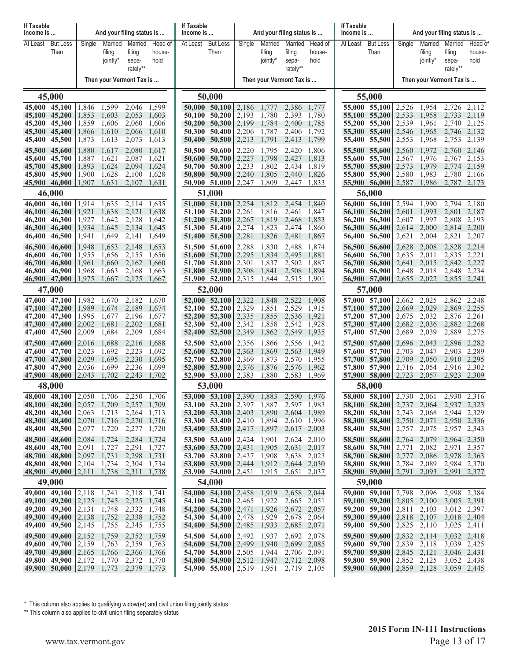| If Taxable                                                          | And your filing status is<br>Income is                                  |                                                     |                                           |                                                                         | If Taxable<br>Income is                   |                  | And your filing status is                                                                                                                    |                                           |                                           |                                                                         | If Taxable<br>Income is                   |                                             | And your filing status is                                                                                                                    |                                           |                                           |                                                          |                                           |
|---------------------------------------------------------------------|-------------------------------------------------------------------------|-----------------------------------------------------|-------------------------------------------|-------------------------------------------------------------------------|-------------------------------------------|------------------|----------------------------------------------------------------------------------------------------------------------------------------------|-------------------------------------------|-------------------------------------------|-------------------------------------------------------------------------|-------------------------------------------|---------------------------------------------|----------------------------------------------------------------------------------------------------------------------------------------------|-------------------------------------------|-------------------------------------------|----------------------------------------------------------|-------------------------------------------|
| At Least                                                            | <b>But Less</b><br>Than                                                 | Single                                              | Married<br>filing<br>jointly*             | Married<br>filing<br>sepa-<br>rately**                                  | Head of<br>house-<br>hold                 | At Least         | <b>But Less</b><br>Than                                                                                                                      | Single                                    | Married<br>filing<br>jointly*             | Married<br>filing<br>sepa-<br>rately**                                  | Head of<br>house-<br>hold                 | At Least                                    | <b>But Less</b><br>Than                                                                                                                      | Single                                    | Married<br>filing<br>jointly*             | Married<br>filing<br>sepa-<br>rately**                   | Head of<br>house-<br>hold                 |
|                                                                     |                                                                         |                                                     |                                           | Then your Vermont Tax is                                                |                                           |                  |                                                                                                                                              |                                           |                                           | Then your Vermont Tax is                                                |                                           |                                             |                                                                                                                                              |                                           | Then your Vermont Tax is                  |                                                          |                                           |
|                                                                     | 45,000                                                                  |                                                     |                                           |                                                                         |                                           |                  | 50,000                                                                                                                                       |                                           |                                           |                                                                         |                                           | 55,000                                      |                                                                                                                                              |                                           |                                           |                                                          |                                           |
| 45,000 45,100<br>45,100<br>45,200<br>45,300<br>45,400               | 45,200<br>45,300<br>45,400<br>45,500                                    | 1,846<br>1,853<br>1,859<br>1,866<br>1,873           | 1,599<br>1,603<br>1,606<br>1,610<br>1,613 | 2,046<br>2,053<br>2,060<br>2,066<br>2,073                               | 1,599<br>1,603<br>1,606<br>1,610<br>1,613 | 50,200<br>50,300 | 50,000 50,100<br>50,100 50,200<br>50,300<br>50,400<br>50,400 50,500                                                                          | 2,186<br>2,193<br>2,199<br>2,206<br>2,213 | 1,777<br>1,780<br>1,784<br>1,787<br>1,791 | 2,386<br>2,393<br>2,400<br>2,406<br>2,413                               | 1,777<br>1,780<br>1,785<br>1,792<br>1,799 | 55,100<br>55,400                            | 55,000 55,100<br>55,200<br>55,200 55,300<br>55,300 55,400<br>55,500                                                                          | 2,526<br>2,533<br>2,539<br>2,546<br>2,553 | 1,954<br>1,958<br>1,961<br>1,965<br>1,968 | 2,726<br>2.733<br>2,740<br>2,746<br>2,753                | 2,112<br>2,119<br>2,125<br>2,132<br>2,139 |
| 45,500<br><b>45,600</b><br>45,700<br>45,800<br>45,900               | 45,600<br>45,700<br>45,800<br>45,900<br>46,000                          | 1,880<br>1,887<br>1,893<br>1,900<br>1,907           | 1,617<br>1,621<br>1,624<br>1,628<br>1,631 | 2,080<br>2,087<br>2,094<br>2,100<br>2,107                               | 1,617<br>1,621<br>1,624<br>1,628<br>1,631 | 50,600           | 50,500 50,600<br>50,700<br>50,700 50,800<br>$50,800$ $50,900$<br>$50,900$ $51,000$ $2,247$                                                   | 2,220<br>2,227<br>2,233<br>2,240          | 1,795<br>1,798<br>1,802<br>1,805<br>1,809 | 2,420<br>2,427<br>2,434<br>2,440<br>2,447                               | 1,806<br>1,813<br>1,819<br>1,826<br>1,833 | 55,500<br>55,600                            | 55,600<br>55,700<br>55,700 55,800<br>55,800 55,900<br>55,900 56,000                                                                          | 2,560<br>2,567<br>2,573<br>2,580<br>2,587 | 1,972<br>1,976<br>1,979<br>1,983<br>1,986 | 2,760<br>2,767<br>2,774 2,159<br>2,780 2,166<br>2,787    | 2,146<br>2,153<br>2,173                   |
| 46.000                                                              | 46,000<br>46,100                                                        | 1.914                                               | 1,635                                     | 2,114                                                                   | 1,635                                     |                  | 51,000<br>51,000 51,100                                                                                                                      | 2,254                                     | 1,812                                     | 2,454                                                                   | 1,840                                     |                                             | 56,000<br>56,000 56,100                                                                                                                      | 2,594                                     | 1,990                                     | 2,794                                                    | 2,180                                     |
| 46,100<br>46,200<br>46,300<br>46,400                                | 46,200<br>46,300<br>46,400<br>46,500                                    | 1.921<br>1,927<br>1.934<br>1,941                    | 1,638<br>1,642<br>1,645<br>1,649          | 2,121<br>2,128<br>2,134<br>2,141                                        | 1,638<br>1,642<br>1,645<br>1,649          |                  | 51,100 51,200<br>$51,200$ $51,300$<br>51,300 51,400<br>51,400 51,500                                                                         | 2,261<br>2,267<br>2,274<br>2,281          | 1,816<br>1,819<br>1,823<br>1,826          | 2,461<br>2.468<br>2,474<br>2,481                                        | 1,847<br>1,853<br>1,860<br>1,867          | <b>56,100</b><br>56,200<br>56,300<br>56,400 | 56,200<br>56,300<br>56,400<br>56,500                                                                                                         | 2,601<br>2,607<br>2,614<br>2,621          | 1,993<br>1,997<br>2,000<br>2,004          | 2,801<br>2,808<br>2,814 2,200<br>2,821                   | 2,187<br>2,193<br>2,207                   |
| 46,500<br>46.600<br>46,700<br>46,800<br>46,900                      | 46,600<br>46,700<br>46,800<br>46,900<br>47,000                          | 1,948<br>1,955<br>1,961<br>1,968<br>1,975           | 1,653<br>1,656<br>1,660<br>1,663<br>1,667 | 2,148<br>2,155<br>2,162<br>2,168<br>2,175                               | 1,653<br>1,656<br>1,660<br>1,663<br>1,667 | 51,600           | 51,500 51,600<br>51,700<br>51,700 51,800<br>51,800 51,900<br>51,900 52,000                                                                   | 2,288<br>2,295<br>2,301<br>2,308<br>2,315 | 1,830<br>1,834<br>1,837<br>1,841<br>1,844 | 2.488<br>2,495<br>2,502<br>2,508<br>2,515                               | 1,874<br>1,881<br>1,887<br>1,894<br>1,901 | 56,500<br>56,600<br>56,800                  | 56,600<br>56,700<br>56,700 56,800<br>56,900<br>56,900 57,000                                                                                 | 2,628<br>2,635<br>2,641<br>2,648<br>2,655 | 2,008<br>2,011<br>2,015<br>2,018<br>2,022 | 2,828<br>2,835<br>2,842 2,227<br>2,848 2,234<br>2,855    | 2,214<br>2,221<br>2,241                   |
|                                                                     | 47,000                                                                  |                                                     |                                           |                                                                         |                                           |                  | 52,000                                                                                                                                       |                                           |                                           |                                                                         |                                           |                                             | 57,000                                                                                                                                       |                                           |                                           |                                                          |                                           |
| 47,000<br>47.100<br>47,200<br>47,300 47,400<br>47,400 47,500        | 47,100<br>47,200<br>47,300                                              | 1,982<br>1.989<br>1,995<br>2,002<br>$ 2,009\rangle$ | 1,670<br>1,674<br>1,677<br>1,681<br>1,684 | 2,182<br>2,189<br>2,196<br>2,202<br>2,209                               | 1,670<br>1,674<br>1,677<br>1,681<br>1,684 | 52,000<br>52,200 | 52,100<br>52,100 52,200<br>52,300<br>52,300 52,400<br>52,400 52,500                                                                          | 2,322<br>2,329<br>2,335<br>2,342<br>2,349 | 1,848<br>1,851<br>1,855<br>1,858<br>1,862 | 2,522<br>2,529<br>2,536<br>2,542<br>2,549                               | 1,908<br>1,915<br>1,921<br>1,928<br>1,935 |                                             | 57,000 57,100<br>57,100 57,200<br>57,200 57,300<br>57,300 57,400<br>57,400 57,500                                                            | 2,662<br>2,669<br>2,675<br>2,682<br>2,689 | 2,025<br>2,029<br>2,032<br>2,036<br>2,039 | 2,862<br>2,869 2,255<br>2,876<br>2,882<br>2,889          | 2,248<br>2,261<br>2,268<br>2,275          |
| 47,500<br>47,600<br>47,700 47,800<br>47,800 47,900<br>47,900 48,000 | 47,600<br>47,700                                                        | 2,016<br>2,023<br>2.029<br>2,036<br> 2,043          | 1,688<br>1,692<br>1,695<br>1,699<br>1,702 | 2,216<br>2,223<br>2,230<br>2,236<br>2,243                               | 1,688<br>1,692<br>1,695<br>1,699<br>1,702 | 52,600           | 52,500 52,600<br>52,700<br>52,700 52,800<br>$52,800$ $52,900$<br>52,900 53,000                                                               | 2,356<br>2.363<br>2,369<br>2,376<br>2,383 | 1,866<br>1,869<br>1,873<br>1,876<br>1,880 | 2,556<br>2,563<br>2,570<br>2,576<br>2,583                               | 1,942<br>1,949<br>1,955<br>1,962<br>1,969 |                                             | 57,500 57,600<br>57,600 57,700<br>57,700 57,800<br>57,800 57,900<br>57,900 58,000                                                            | 2,696<br>2.703<br>2,709<br>2,716<br>2,723 | 2,043<br>2,047<br>2,050<br>2,054<br>2,057 | 2,896<br>2,903<br>2,910 2,295<br>2,916 2,302<br>2,923    | 2,282<br>2,289<br>2,309                   |
|                                                                     | 48,000<br>48,000 48,100 2,050 1,706                                     |                                                     |                                           | 2,250                                                                   | 1,706                                     |                  | 53,000<br>53,000 53,100 $\mid$ 2,390                                                                                                         |                                           | 1,883                                     | 2,590                                                                   | 1,976                                     |                                             | 58,000<br>$\overline{58,000}$ $\overline{58,100}$ 2,730                                                                                      |                                           | 2,061                                     | 2,930 2,316                                              |                                           |
| 48,200 48,300<br>48,300 48,400                                      | 48,100 48,200 2,057 1,709<br>48,400 48,500 2,077                        | $ 2,063\rangle$<br> 2,070                           | 1,713<br>1,716<br>1,720                   | 2,257 1,709<br>2,264 1,713<br>2,270 1,716<br>2,277 1,720                |                                           |                  | 53,100 53,200 $\mid$ 2,397 1,887<br>53,200 53,300 2,403<br>53,300 53,400 $\mid$ 2,410<br>53,400 53,500 $\mid$ 2,417                          |                                           | 1,890<br>1,894<br>1,897                   | 2,597 1,983<br>2,604 1,989<br>2,610<br>2,617 2,003                      | 1,996                                     |                                             | 58,100 58,200 $\mid$ 2,737 2,064<br>58,200 58,300<br>58,300 58,400<br>58,400 58,500                                                          | 2,743 2,068<br>2,750<br>2,757             | 2,071<br>2,075                            | 2,937 2,323<br>2,944 2,329<br>2,950 2,336<br>2,957 2,343 |                                           |
| 48,500 48,600<br>48,600 48,700<br>48,900 49,000 2,111 1,738         | 48,700 48,800 2,097 1,731<br>48,800 48,900 2,104 1,734                  | $ 2,084\rangle$<br>2,091                            | 1,724<br>1,727                            | 2,284 1,724<br>2,291 1,727<br>2,298 1,731<br>2,304 1,734<br>2,311 1,738 |                                           |                  | 53,500 53,600<br>53,600 53,700 $\mid$ 2,431 1,905<br>53,700 53,800   2,437 1,908<br>53,800 53,900   2,444 1,912<br>$53,900$ $54,000$ $2,451$ | 2,424                                     | 1,901<br>1,915                            | 2,624 2,010<br>2,631 2,017<br>2,638 2,023<br>2,644 2,030<br>2,651 2,037 |                                           |                                             | 58,500 58,600<br>58,600 58,700<br>58,700 58,800<br>58,800 58,900 2,784 2,089 2,984 2,370<br>$58,900$ $59,000$ $2,791$                        | 2,764<br>2,771<br>2,777                   | 2,079<br>2,082<br>2,086<br>2,093          | 2,964 2,350<br>2,971 2,357<br>2,978 2,363<br>2,991 2,377 |                                           |
|                                                                     | 49,000                                                                  |                                                     |                                           |                                                                         |                                           |                  | 54,000                                                                                                                                       |                                           |                                           |                                                                         |                                           |                                             | 59,000                                                                                                                                       |                                           |                                           |                                                          |                                           |
| 49,200 49,300<br>49,300 49,400<br>49,400 49,500                     | 49,000 49,100 2,118 1,741<br>49,100 49,200 $\left  2,125 \right $ 1,745 | 2,131 <br> 2,138 <br> 2,145                         | 1,748<br>1,752<br>1,755                   | 2,318 1,741<br>2,325 1,745<br>2,332 1,748<br>2,338 1,752<br>2,345 1,755 |                                           |                  | 54,000 54,100 2,458 1,919<br>54,100 $\cdot$ 54,200   2,465 1,922<br>54,200 54,300 2,471<br>54,300 54,400 2,478<br>54,400 54,500              | 2,485                                     | 1,926<br>1,929<br>1,933                   | 2,658 2,044<br>2,665 2,051<br>2,672 2,057<br>2,678 2,064<br>2,685 2,071 |                                           |                                             | 59,000 59,100 $\mid$ 2,798 2,096<br>59,100 59,200   2,805 2,100 3,005 2,391<br>59,200 59,300<br>59,300 59,400   2,818 2,107<br>59,400 59,500 | 2,811<br>2,825 2,110                      | 2,103                                     | 2,998 2,384<br>3,012 2,397<br>3,018 2,404<br>3,025 2,411 |                                           |
| 49,500 49,600<br>49,600 49,700<br>49,900 50,000 $ 2,179$            | 49,700 49,800 2,165 1,766<br>49,800 49,900 2,172                        | 2,152 <br> 2,159                                    | 1,759<br>1,763<br>1,770<br>1,773          | 2,352 1,759<br>2,359 1,763<br>2,366 1,766<br>2,372 1,770<br>2,379 1,773 |                                           |                  | 54,500 54,600<br>54,600 54,700   2,499 1,940<br>54,700 54,800 2,505<br>54,800 54,900 2,512<br>54,900 55,000   2,519 1,951                    | 2,492                                     | 1,937<br>1,944<br>1,947                   | 2,692 2,078<br>2,699 2,085<br>2,706 2,091<br>2,712 2,098<br>2,719 2,105 |                                           |                                             | 59,500 59,600<br>59,600 59,700<br>59,700 59,800   2,845 2,121<br>59,800 59,900   2,852 2,125<br>59,900 60,000   2,859 2,128                  | 2,839 2,118                               | 2,832 2,114 3,032 2,418                   | 3,039 2,425<br>3,046 2,431<br>3,052 2,438<br>3,059 2,445 |                                           |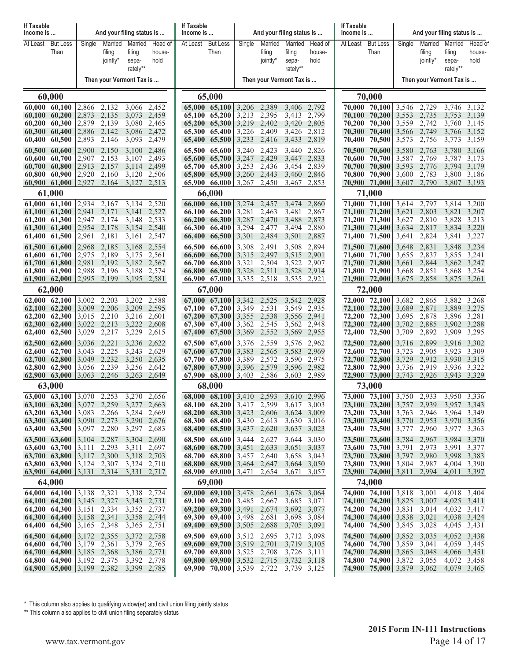| If Taxable<br>Income is        |                                                                                          |                                                                                                | And your filing status is                     |                            |                      | If Taxable<br>Income is |                                                                |                |                   | And your filing status is  |                   | If Taxable<br>Income is |                                                  |                            | And your filing status is |                            |                      |
|--------------------------------|------------------------------------------------------------------------------------------|------------------------------------------------------------------------------------------------|-----------------------------------------------|----------------------------|----------------------|-------------------------|----------------------------------------------------------------|----------------|-------------------|----------------------------|-------------------|-------------------------|--------------------------------------------------|----------------------------|---------------------------|----------------------------|----------------------|
| At Least                       | <b>But Less</b><br>Than                                                                  | Single                                                                                         | Married<br>filing                             | Married<br>filing          | Head of<br>house-    | At Least                | <b>But Less</b><br>Than                                        | Single         | Married<br>filing | Married<br>filing          | Head of<br>house- | At Least                | <b>But Less</b><br>Than                          | Single                     | Married<br>filing         | Married<br>filing          | Head of<br>house-    |
|                                |                                                                                          |                                                                                                | jointly*                                      | sepa-                      | hold                 |                         |                                                                |                | jointly*          | sepa-                      | hold              |                         |                                                  |                            | jointly*                  | sepa-                      | hold                 |
|                                |                                                                                          |                                                                                                |                                               | rately**                   |                      |                         |                                                                |                |                   | rately**                   |                   |                         |                                                  |                            |                           | rately**                   |                      |
|                                |                                                                                          |                                                                                                | Then your Vermont Tax is                      |                            |                      |                         |                                                                |                |                   | Then your Vermont Tax is   |                   |                         |                                                  |                            | Then your Vermont Tax is  |                            |                      |
|                                | 60,000                                                                                   |                                                                                                |                                               |                            |                      |                         | 65,000                                                         |                |                   |                            |                   |                         | 70,000                                           |                            |                           |                            |                      |
| 60,000 60,100<br>60,100 60,200 |                                                                                          | 2,866<br>2,873                                                                                 | 2,132<br>2,135                                | 3,066<br>3.073             | 2,452<br>2,459       |                         | 65,000 65,100<br>65,100 65,200                                 | 3.206<br>3,213 | 2,389<br>2,395    | 3.406<br>3,413             | 2,792<br>2,799    | 70,100                  | 70,000 70,100<br>70,200                          | 3,546<br>3,553             | 2,729<br>2,735            | 3.746<br>3.753             | 3,132<br>3,139       |
| 60,200<br>60,300 60,400        | 60,300                                                                                   | 2,879<br>2,886                                                                                 | 2,139<br>2,142                                | 3.080                      | 2,465<br>2,472       |                         | $65,200$ $65,300$<br>65,300 65,400                             | 3,219<br>3,226 | 2,402<br>2,409    | 3.420<br>3,426             | 2,805<br>2,812    | 70,200<br>70,300        | 70,300<br>70,400                                 | 3,559<br>3.566             | 2,742<br>2,749            | 3,760<br>3,766             | 3,145<br>3,152       |
| 60,400                         | 60,500                                                                                   | 2,893                                                                                          | 2,146                                         | 3,086<br>3,093             | 2,479                |                         | $65,400$ $65,500$                                              | 3,233          | 2,416             | 3,433                      | 2,819             | 70,400                  | 70,500                                           | 3,573                      | 2,756                     | 3,773                      | 3,159                |
| 60,500                         | 60,600                                                                                   | 2,900                                                                                          | 2,150                                         | 3,100                      | 2,486                |                         | 65,500 65,600                                                  | 3,240          | 2,423             | 3,440                      | 2,826             | 70,500                  | 70,600                                           | 3,580                      | 2,763                     | 3,780                      | 3,166                |
| 60,600<br>60,700 60,800        | 60,700                                                                                   | 2,907<br>2.913                                                                                 | 2,153<br>2,157                                | 3,107                      | 2,493<br>3,114 2,499 |                         | 65,600 65,700<br>65,700 65,800                                 | 3,247<br>3,253 | 2,429<br>2,436    | 3,447<br>3,454             | 2,833<br>2,839    | 70,600<br>70,700        | 70,700<br>70,800                                 | 3,587<br>3.593             | 2,769<br>2,776            | 3,787                      | 3,173<br>3,794 3,179 |
| 60,800 60,900                  |                                                                                          | 2,920                                                                                          | 2,160                                         |                            | 3,120 2,506          |                         | 65,800 65,900 $\mid$ 3,260                                     |                | 2,443             | 3,460                      | 2,846             | 70,800                  | 70,900                                           | 3,600                      | 2,783                     | 3,800 3,186                |                      |
| 60,900 61,000                  | 61,000                                                                                   | 12,927                                                                                         | 2,164                                         | 3,127 2,513                |                      |                         | 65,900 66,000 $\mid$ 3,267<br>66,000                           |                | 2,450             | 3,467                      | 2,853             | 70,900                  | $71,000$   3,607<br>71,000                       |                            | 2,790                     | 3,807 3,193                |                      |
| 61,000 61,100                  |                                                                                          | 2.934                                                                                          | 2,167                                         | 3,134                      | 2,520                |                         | $66,000$ $66,100$                                              | 3,274          | 2,457             | 3,474                      | 2,860             |                         | 71,000 71,100                                    | 3,614                      | 2,797                     | 3,814                      | 3,200                |
| 61,100 61,200<br>61,200 61,300 |                                                                                          | 2,941<br> 2,947                                                                                | 2,171<br>2,174                                | 3,141<br>3,148             | 2,527<br>2,533       | 66,200                  | 66,100 66,200<br>66,300                                        | 3,281<br>3,287 | 2,463<br>2,470    | 3,481<br>3,488             | 2,867<br>2,873    | 71,200                  | 71,100 71,200<br>71,300                          | 3.621<br>3,627             | 2,803<br>2,810            | 3,828                      | 3,821 3,207<br>3,213 |
| 61,300 61,400                  |                                                                                          | 2,954                                                                                          | 2,178                                         | 3,154                      | 2,540                | 66,300                  | 66,400                                                         | 3,294          | 2,477             | 3,494                      | 2,880             | 71,300                  | 71,400                                           | 3.634                      | 2,817                     | 3,834 3,220                |                      |
| 61,400 61,500                  |                                                                                          | 2,961                                                                                          | 2,181                                         | 3,161                      | 2,547                |                         | 66,400 66,500                                                  | 3,301          | 2,484             | 3,501                      | 2,887             | 71,400                  | 71,500                                           | 3,641                      | 2,824                     | 3,841                      | 3,227                |
| 61,500 61,600<br>61,600 61,700 |                                                                                          | 2,968<br>2.975                                                                                 | 2,185<br>2,189                                | 3,168<br>3,175             | 2,554<br>2,561       | 66,600                  | 66,500 66,600<br>66,700                                        | 3,308<br>3.315 | 2,491<br>2,497    | 3,508<br>3,515             | 2,894<br>2,901    | 71,500<br>71,600        | 71,600<br>71,700                                 | 3,648<br>3,655             | 2,831<br>2,837            | 3,848<br>3.855             | 3,234<br>3,241       |
| 61,700 61,800                  |                                                                                          | 2,981                                                                                          | 2,192                                         |                            | 3,182 2,567          |                         | 66,700 66,800                                                  | 3,321          | 2,504             | 3,522                      | 2,907             | 71,700                  | 71,800                                           | 3,661                      | 2,844                     |                            | 3.862 3.247          |
| 61,800 61,900<br>61,900 62,000 |                                                                                          | 2,988<br>2,995                                                                                 | 2,196<br>2,199                                | 3,188<br>3,195             | 2,574<br>2,581       |                         | 66,800 66,900<br>66,900 67,000 $\mid$ 3,335                    | 3,328          | 2,511<br>2,518    | 3,528<br>3,535             | 2,914<br>2,921    |                         | 71,800 71,900<br>71,900 72,000                   | 3,668<br>3,675             | 2,851<br>2,858            | 3,868<br>3,875             | 3,254<br>3,261       |
|                                | 62,000                                                                                   |                                                                                                |                                               |                            |                      |                         | 67,000                                                         |                |                   |                            |                   |                         | 72,000                                           |                            |                           |                            |                      |
| 62,000 62,100                  |                                                                                          | 3,002                                                                                          | 2,203                                         | 3,202                      | 2,588                |                         | $67,000$ $67,100$                                              | 3,342          | 2,525             | 3,542                      | 2,928             | 72,000                  | 72,100                                           | 3,682                      | 2,865                     | 3,882                      | 3,268                |
| 62,100 62,200<br>62,200 62,300 |                                                                                          | 3,009<br>3,015                                                                                 | 2,206<br>2,210                                | 3,209<br>3,216             | 2,595<br>2,601       |                         | 67,100 67,200<br>$67,200$ $67,300$                             | 3,349<br>3,355 | 2,531<br>2,538    | 3,549<br>3,556             | 2,935<br>2,941    | 72,200                  | 72,100 72,200<br>72,300                          | 3.689<br>3,695             | 2,871<br>2,878            | 3,889 3,275<br>3,896 3,281 |                      |
| 62,300 62,400                  |                                                                                          | 3,022<br>3,029                                                                                 | 2,213<br>2,217                                | 3,222<br>3,229             | 2,608<br>2,615       |                         | 67,300 67,400                                                  | 3,362          | 2,545<br>2,552    | 3,562                      | 2,948             | 72,300                  | 72,400                                           | 3,702                      | 2,885<br>2,892            | 3,902 3,288                | 3,295                |
| 62,400 62,500<br>62,500 62,600 |                                                                                          | 3,036                                                                                          | 2,221                                         | 3,236                      | 2,622                |                         | 67,400 67,500<br>67,500 67,600                                 | 3,369<br>3,376 | 2,559             | 3,569<br>3,576             | 2,955<br>2,962    | 72,400<br>72,500        | 72,500<br>72,600                                 | 3,709<br>3,716             | 2,899                     | 3,909                      | 3,916 3,302          |
| 62,600 62,700                  |                                                                                          | 3,043                                                                                          | 2,225                                         | 3.243                      | 2,629                |                         | 67,600 67,700                                                  | 3.383          | 2,565             | 3,583                      | 2,969             | 72,600                  | 72,700                                           | 3,723                      | 2,905                     | 3.923                      | 3,309                |
| 62,700 62,800<br>62,800 62,900 |                                                                                          | 3,049<br>3,056                                                                                 | 2,232<br>2,239                                | 3,250<br>3,256             | 2,635<br>2,642       |                         | 67,700 67,800<br>67,800 67,900 3,396                           | 3,389          | 2,572<br>2,579    | 3,590<br>3,596             | 2,975<br>2,982    | 72,700                  | 72,800<br>72,800 72,900                          | 3,729<br>3,736             | 2,912<br>2,919            | 3,930 3,315<br>3,936 3,322 |                      |
| 62,900 63,000                  |                                                                                          | 3,063                                                                                          | 2,246                                         | 3,263                      | 2,649                |                         | $67,900$ $68,000$ 3.403                                        |                | 2,586             | 3,603                      | 2,989             |                         | 72,900 73,000                                    | 3,743                      | 2,926                     | 3,943                      | 3,329                |
|                                | 63,000                                                                                   |                                                                                                |                                               |                            |                      |                         | 68,000                                                         |                |                   |                            |                   |                         | 73,000                                           |                            |                           |                            |                      |
| 63,100 63,200                  | 63,000 63,100 3,070 2,253                                                                | $3,077$ 2,259                                                                                  |                                               | 3,270<br>3,277 2,663       | 2,656                |                         | 68,000 68,100 3,410 2,593<br>68,100 68,200 3,417 2,599         |                |                   | 3,610 2,996<br>3,617 3,003 |                   |                         | 73,000 73,100 3,750<br>73,100 73,200 3,757 2,939 |                            | 2.933                     | 3.950 3.336<br>3,957 3,343 |                      |
| 63,200 63,300<br>63,300 63,400 |                                                                                          | $3,083$ 2,266<br>$3,090$ 2,273                                                                 |                                               | 3,284 2,669<br>3,290 2,676 |                      |                         | 68,200 68,300 3,423<br>68,300 68,400 3,430                     |                | 2,606             | 3,624 3,009<br>3,630 3,016 |                   |                         | 73,200 73,300<br>73,300 73,400 3,770             |                            | 3,763 2,946<br>2,953      | 3,964 3,349<br>3,970 3,356 |                      |
| 63,400 63,500                  |                                                                                          | 3,097                                                                                          | 2,280                                         | 3,297 2,683                |                      |                         | 68,400 68,500 3,437                                            |                | 2,613<br>2,620    | 3,637 3,023                |                   |                         | 73,400 73,500                                    | 3,777                      | 2,960                     | 3,977 3,363                |                      |
| 63,500 63,600                  |                                                                                          | $\begin{bmatrix} 3,104 & 2,287 \end{bmatrix}$                                                  |                                               |                            | 3,304 2,690          |                         | 68,500 68,600                                                  | 3,444          | 2,627             | 3,644 3,030                |                   |                         | 73,500 73,600                                    | 3,784                      | 2,967                     | 3,984 3,370                |                      |
| 63,600 63,700<br>63,700 63,800 |                                                                                          | 3,111<br>$\begin{bmatrix} 3{,}117 & 2{,}300 \end{bmatrix}$                                     | 2,293                                         | 3,311 2,697<br>3,318 2,703 |                      |                         | 68,600 68,700 3,451<br>68,700 68,800 3,457 2,640               |                | 2,633             | 3,651 3,037<br>3,658 3,043 |                   |                         | 73,600 73,700<br>73,700 73,800 3,797 2,980       | 3,791                      | 2,973                     | 3,991 3,377<br>3,998 3,383 |                      |
|                                | 63,800 63,900 3,124 2,307                                                                |                                                                                                |                                               | 3,324 2,710                |                      |                         | 68,800 68,900 3,464 2,647                                      |                |                   | 3,664 3,050                |                   |                         | 73,800 73,900 3,804 2,987                        |                            |                           | 4,004 3,390                |                      |
|                                | 63,900 64,000 $\begin{bmatrix} 3,131 & 2,314 \end{bmatrix}$<br>64,000                    |                                                                                                |                                               | 3,331 2,717                |                      |                         | 68,900 69,000 $3,471$<br>69,000                                |                | 2,654             | 3,671                      | 3,057             |                         | 73,900 74,000 3,811<br>74,000                    |                            | 2,994                     |                            | 4,011 3,397          |
|                                | 64,000 64,100 3,138 2,321                                                                |                                                                                                |                                               |                            | 3,338 2,724          |                         | 69,000 69,100 3,478 2,661                                      |                |                   | 3,678 3,064                |                   |                         | $74,000$ 74,100 3,818 3,001                      |                            |                           | 4,018 3,404                |                      |
| 64,100 64,200                  |                                                                                          | $\begin{bmatrix} 3,145 & 2,327 \end{bmatrix}$                                                  |                                               | 3,345 2,731                |                      |                         | 69,100 69,200 3,485 2,667                                      |                |                   | 3,685 3,071                |                   |                         | 74,100 74,200 3,825 3,007                        |                            |                           | 4,025 3,411                |                      |
| 64,200 64,300<br>64,300 64,400 |                                                                                          | $\begin{bmatrix} 3,158 & 2,341 \end{bmatrix}$                                                  | $\begin{bmatrix} 3,151 & 2,334 \end{bmatrix}$ | 3,352 2,737<br>3,358 2,744 |                      |                         | 69,200 69,300 3,491<br>69,300 69,400 $\mid$ 3,498              |                | 2,674<br>2,681    | 3,692 3,077<br>3,698 3,084 |                   |                         | 74,200 74,300<br>74,300 74,400 3,838 3,021       | 3,831                      | 3,014                     | 4,032 3,417<br>4,038 3,424 |                      |
| 64,400 64,500                  |                                                                                          | $3,165$ 2,348                                                                                  |                                               | 3,365 2,751                |                      |                         | 69,400 69,500 $\mid$ 3,505                                     |                | 2,688             | 3,705 3,091                |                   |                         | 74,400 74,500                                    | 3,845                      | 3,028                     | 4,045 3,431                |                      |
| 64,500 64,600<br>64,600 64,700 |                                                                                          | $\begin{bmatrix} 3,172 & 2,355 \end{bmatrix}$<br>$\begin{bmatrix} 3,179 & 2,361 \end{bmatrix}$ |                                               | 3,379 2,765                | 3,372 2,758          |                         | 69,500 69,600 $\mid$ 3,512 2,695<br>69,600 69,700 3,519 2,701  |                |                   | 3,712 3,098<br>3,719 3,105 |                   |                         | 74,500 74,600<br>74,600 74,700                   | 3,852 3,035<br>3,859 3,041 |                           | 4,052 3,438<br>4,059 3,445 |                      |
| 64,700 64,800                  |                                                                                          | $3,185$ 2,368                                                                                  |                                               | 3,386 2,771                |                      |                         | 69,700 69,800 $\mid$ 3,525                                     |                | 2,708             | 3,726 3,111                |                   |                         | 74,700 74,800 3,865 3,048                        |                            |                           | 4,066 3,451                |                      |
|                                | 64,800 64,900 3,192 2,375<br>64,900 65,000 $\begin{bmatrix} 3,199 & 2,382 \end{bmatrix}$ |                                                                                                |                                               | 3,392 2,778<br>3,399 2,785 |                      |                         | 69,800 69,900 $\mid$ 3,532<br>69,900 70,000 $\mid$ 3,539 2,722 |                | 2,715             | 3,732 3,118<br>3,739 3,125 |                   |                         | 74,800 74,900<br>74,900 75,000 3,879             | 3,872                      | 3,055<br>3,062            | 4,072 3,458<br>4,079 3,465 |                      |
|                                |                                                                                          |                                                                                                |                                               |                            |                      |                         |                                                                |                |                   |                            |                   |                         |                                                  |                            |                           |                            |                      |